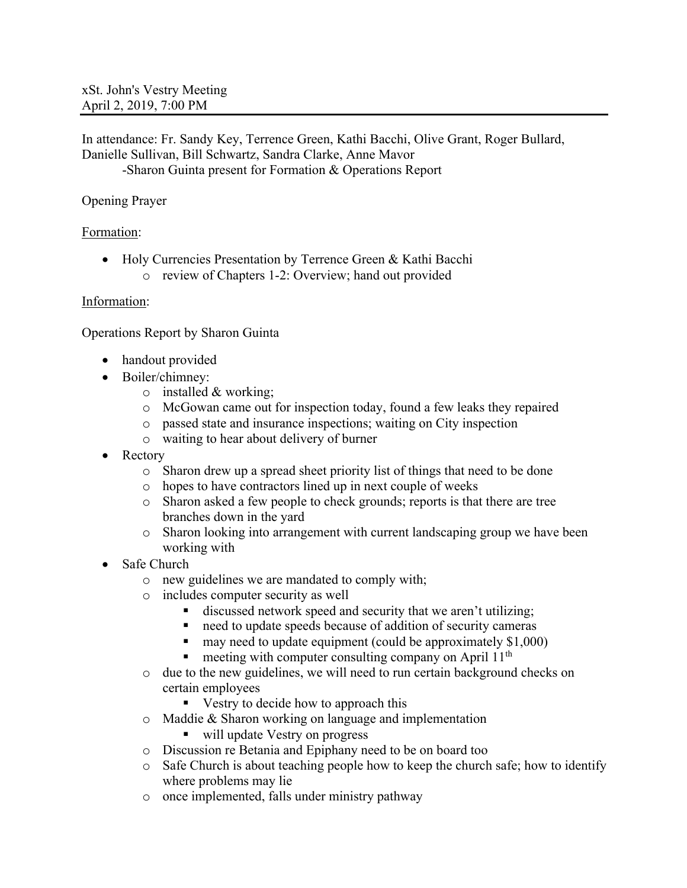In attendance: Fr. Sandy Key, Terrence Green, Kathi Bacchi, Olive Grant, Roger Bullard, Danielle Sullivan, Bill Schwartz, Sandra Clarke, Anne Mavor -Sharon Guinta present for Formation & Operations Report

# Opening Prayer

## Formation:

• Holy Currencies Presentation by Terrence Green & Kathi Bacchi o review of Chapters 1-2: Overview; hand out provided

## Information:

Operations Report by Sharon Guinta

- handout provided
- Boiler/chimney:
	- $\circ$  installed & working;
	- o McGowan came out for inspection today, found a few leaks they repaired
	- o passed state and insurance inspections; waiting on City inspection
	- o waiting to hear about delivery of burner
- Rectory
	- o Sharon drew up a spread sheet priority list of things that need to be done
	- o hopes to have contractors lined up in next couple of weeks
	- o Sharon asked a few people to check grounds; reports is that there are tree branches down in the yard
	- o Sharon looking into arrangement with current landscaping group we have been working with
- Safe Church
	- o new guidelines we are mandated to comply with;
	- o includes computer security as well
		- discussed network speed and security that we aren't utilizing;
		- need to update speeds because of addition of security cameras
		- $\blacksquare$  may need to update equipment (could be approximately \$1,000)
		- meeting with computer consulting company on April 11<sup>th</sup>
	- o due to the new guidelines, we will need to run certain background checks on certain employees
		- Vestry to decide how to approach this
	- o Maddie & Sharon working on language and implementation
		- will update Vestry on progress
	- o Discussion re Betania and Epiphany need to be on board too
	- $\circ$  Safe Church is about teaching people how to keep the church safe; how to identify where problems may lie
	- o once implemented, falls under ministry pathway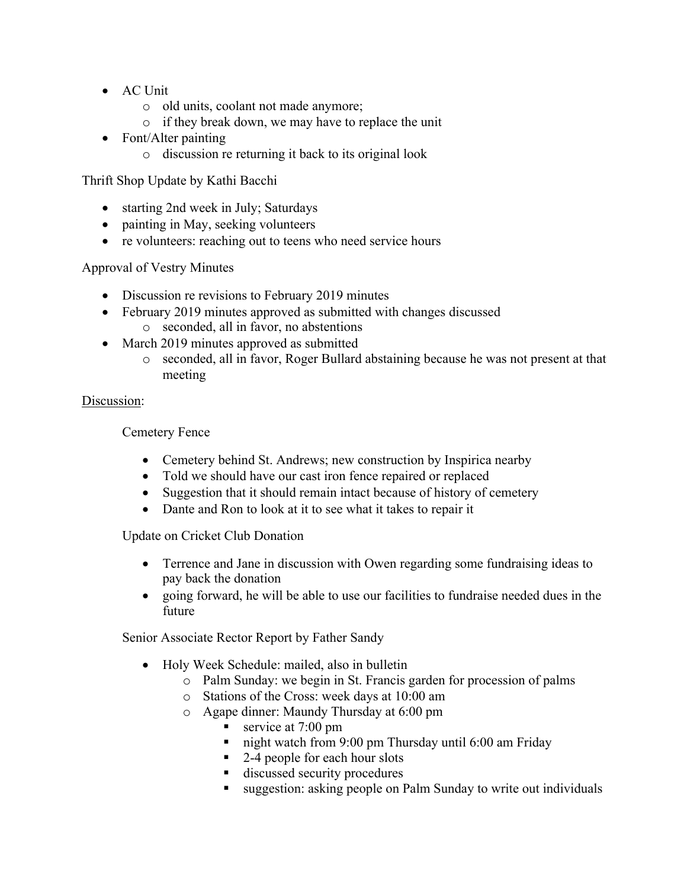- AC Unit
	- o old units, coolant not made anymore;
	- o if they break down, we may have to replace the unit
- Font/Alter painting
	- o discussion re returning it back to its original look

Thrift Shop Update by Kathi Bacchi

- starting 2nd week in July; Saturdays
- painting in May, seeking volunteers
- re volunteers: reaching out to teens who need service hours

Approval of Vestry Minutes

- Discussion re revisions to February 2019 minutes
- February 2019 minutes approved as submitted with changes discussed o seconded, all in favor, no abstentions
- March 2019 minutes approved as submitted
	- o seconded, all in favor, Roger Bullard abstaining because he was not present at that meeting

# Discussion:

Cemetery Fence

- Cemetery behind St. Andrews; new construction by Inspirica nearby
- Told we should have our cast iron fence repaired or replaced
- Suggestion that it should remain intact because of history of cemetery
- Dante and Ron to look at it to see what it takes to repair it

Update on Cricket Club Donation

- Terrence and Jane in discussion with Owen regarding some fundraising ideas to pay back the donation
- going forward, he will be able to use our facilities to fundraise needed dues in the future

Senior Associate Rector Report by Father Sandy

- Holy Week Schedule: mailed, also in bulletin
	- o Palm Sunday: we begin in St. Francis garden for procession of palms
	- o Stations of the Cross: week days at 10:00 am
	- o Agape dinner: Maundy Thursday at 6:00 pm
		- service at 7:00 pm
		- night watch from 9:00 pm Thursday until 6:00 am Friday
		- 2-4 people for each hour slots
		- discussed security procedures
		- suggestion: asking people on Palm Sunday to write out individuals